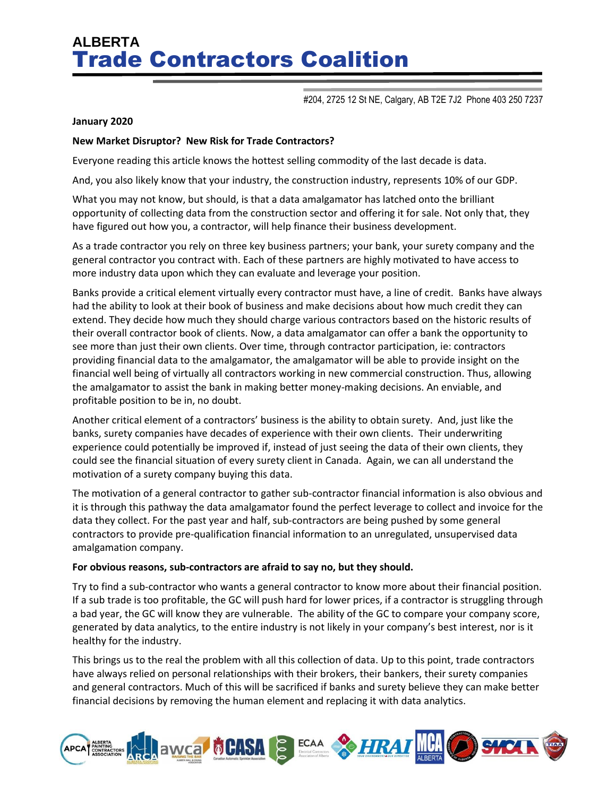# **ALBERTA** Trade Contractors Coalition

#204, 2725 12 St NE, Calgary, AB T2E 7J2 Phone 403 250 7237

#### **January 2020**

### **New Market Disruptor? New Risk for Trade Contractors?**

Everyone reading this article knows the hottest selling commodity of the last decade is data.

And, you also likely know that your industry, the construction industry, represents 10% of our GDP.

What you may not know, but should, is that a data amalgamator has latched onto the brilliant opportunity of collecting data from the construction sector and offering it for sale. Not only that, they have figured out how you, a contractor, will help finance their business development.

As a trade contractor you rely on three key business partners; your bank, your surety company and the general contractor you contract with. Each of these partners are highly motivated to have access to more industry data upon which they can evaluate and leverage your position.

Banks provide a critical element virtually every contractor must have, a line of credit. Banks have always had the ability to look at their book of business and make decisions about how much credit they can extend. They decide how much they should charge various contractors based on the historic results of their overall contractor book of clients. Now, a data amalgamator can offer a bank the opportunity to see more than just their own clients. Over time, through contractor participation, ie: contractors providing financial data to the amalgamator, the amalgamator will be able to provide insight on the financial well being of virtually all contractors working in new commercial construction. Thus, allowing the amalgamator to assist the bank in making better money-making decisions. An enviable, and profitable position to be in, no doubt.

Another critical element of a contractors' business is the ability to obtain surety. And, just like the banks, surety companies have decades of experience with their own clients. Their underwriting experience could potentially be improved if, instead of just seeing the data of their own clients, they could see the financial situation of every surety client in Canada. Again, we can all understand the motivation of a surety company buying this data.

The motivation of a general contractor to gather sub-contractor financial information is also obvious and it is through this pathway the data amalgamator found the perfect leverage to collect and invoice for the data they collect. For the past year and half, sub-contractors are being pushed by some general contractors to provide pre-qualification financial information to an unregulated, unsupervised data amalgamation company.

### **For obvious reasons, sub-contractors are afraid to say no, but they should.**

Try to find a sub-contractor who wants a general contractor to know more about their financial position. If a sub trade is too profitable, the GC will push hard for lower prices, if a contractor is struggling through a bad year, the GC will know they are vulnerable. The ability of the GC to compare your company score, generated by data analytics, to the entire industry is not likely in your company's best interest, nor is it healthy for the industry.

This brings us to the real the problem with all this collection of data. Up to this point, trade contractors have always relied on personal relationships with their brokers, their bankers, their surety companies and general contractors. Much of this will be sacrificed if banks and surety believe they can make better financial decisions by removing the human element and replacing it with data analytics.